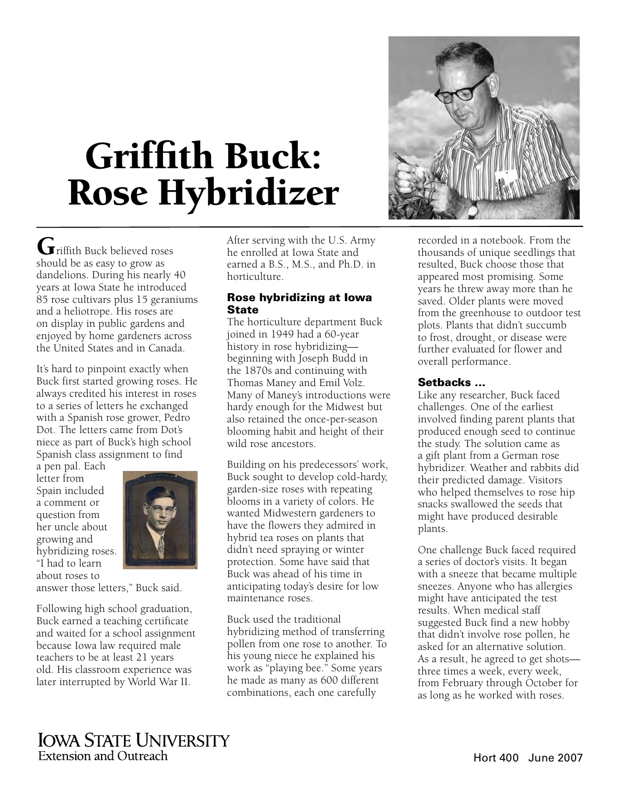# Griffith Buck: Rose Hybridizer

Griffith Buck believed roses should be as easy to grow as dandelions. During his nearly 40 years at Iowa State he introduced 85 rose cultivars plus 15 geraniums and a heliotrope. His roses are on display in public gardens and enjoyed by home gardeners across the United States and in Canada.

It's hard to pinpoint exactly when Buck first started growing roses. He always credited his interest in roses to a series of letters he exchanged with a Spanish rose grower, Pedro Dot. The letters came from Dot's niece as part of Buck's high school Spanish class assignment to find

a pen pal. Each letter from Spain included a comment or question from her uncle about growing and hybridizing roses. "I had to learn about roses to



answer those letters," Buck said.

Following high school graduation, Buck earned a teaching certificate and waited for a school assignment because Iowa law required male teachers to be at least 21 years old. His classroom experience was later interrupted by World War II.

After serving with the U.S. Army he enrolled at Iowa State and earned a B.S., M.S., and Ph.D. in horticulture.

# Rose hybridizing at Iowa **State**

The horticulture department Buck joined in 1949 had a 60-year history in rose hybridizing beginning with Joseph Budd in the 1870s and continuing with Thomas Maney and Emil Volz. Many of Maney's introductions were hardy enough for the Midwest but also retained the once-per-season blooming habit and height of their wild rose ancestors.

Building on his predecessors' work, Buck sought to develop cold-hardy, garden-size roses with repeating blooms in a variety of colors. He wanted Midwestern gardeners to have the flowers they admired in hybrid tea roses on plants that didn't need spraying or winter protection. Some have said that Buck was ahead of his time in anticipating today's desire for low maintenance roses.

Buck used the traditional hybridizing method of transferring pollen from one rose to another. To his young niece he explained his work as "playing bee." Some years he made as many as 600 different combinations, each one carefully



recorded in a notebook. From the thousands of unique seedlings that resulted, Buck choose those that appeared most promising. Some years he threw away more than he saved. Older plants were moved from the greenhouse to outdoor test plots. Plants that didn't succumb to frost, drought, or disease were further evaluated for flower and overall performance.

# Setbacks ...

Like any researcher, Buck faced challenges. One of the earliest involved finding parent plants that produced enough seed to continue the study. The solution came as a gift plant from a German rose hybridizer. Weather and rabbits did their predicted damage. Visitors who helped themselves to rose hip snacks swallowed the seeds that might have produced desirable plants.

One challenge Buck faced required a series of doctor's visits. It began with a sneeze that became multiple sneezes. Anyone who has allergies might have anticipated the test results. When medical staff suggested Buck find a new hobby that didn't involve rose pollen, he asked for an alternative solution. As a result, he agreed to get shots three times a week, every week, from February through October for as long as he worked with roses.